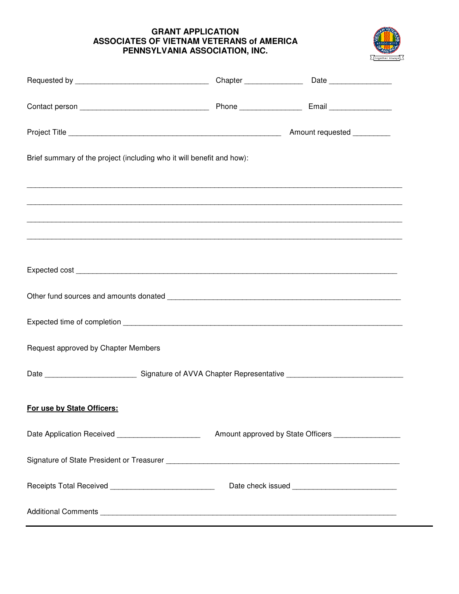## **GRANT APPLICATION ASSOCIATES OF VIETNAM VETERANS of AMERICA PENNSYLVANIA ASSOCIATION, INC.**



| Brief summary of the project (including who it will benefit and how): |  |                                                        |
|-----------------------------------------------------------------------|--|--------------------------------------------------------|
|                                                                       |  |                                                        |
|                                                                       |  |                                                        |
|                                                                       |  |                                                        |
|                                                                       |  |                                                        |
|                                                                       |  |                                                        |
|                                                                       |  |                                                        |
| Request approved by Chapter Members                                   |  |                                                        |
|                                                                       |  |                                                        |
| For use by State Officers:                                            |  |                                                        |
| Date Application Received ______________________                      |  | Amount approved by State Officers ____________________ |
|                                                                       |  |                                                        |
| Receipts Total Received _____________________________                 |  |                                                        |
|                                                                       |  |                                                        |